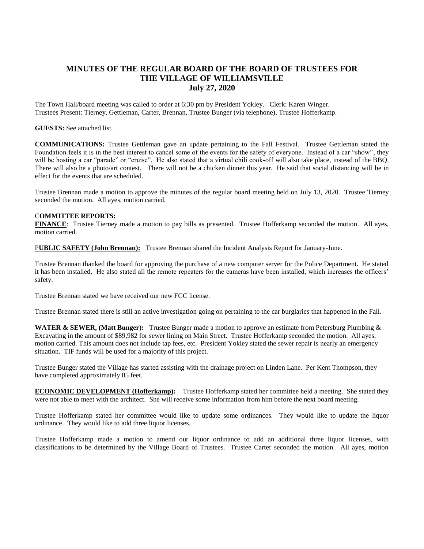## **MINUTES OF THE REGULAR BOARD OF THE BOARD OF TRUSTEES FOR THE VILLAGE OF WILLIAMSVILLE July 27, 2020**

The Town Hall/board meeting was called to order at 6:30 pm by President Yokley. Clerk: Karen Winger. Trustees Present: Tierney, Gettleman, Carter, Brennan, Trustee Bunger (via telephone), Trustee Hofferkamp.

## **GUESTS:** See attached list.

**COMMUNICATIONS:** Trustee Gettleman gave an update pertaining to the Fall Festival. Trustee Gettleman stated the Foundation feels it is in the best interest to cancel some of the events for the safety of everyone. Instead of a car "show", they will be hosting a car "parade" or "cruise". He also stated that a virtual chili cook-off will also take place, instead of the BBQ. There will also be a photo/art contest. There will not be a chicken dinner this year. He said that social distancing will be in effect for the events that are scheduled.

Trustee Brennan made a motion to approve the minutes of the regular board meeting held on July 13, 2020. Trustee Tierney seconded the motion. All ayes, motion carried.

## C**OMMITTEE REPORTS:**

**FINANCE**: Trustee Tierney made a motion to pay bills as presented. Trustee Hofferkamp seconded the motion. All ayes, motion carried.

P**UBLIC SAFETY (John Brennan):** Trustee Brennan shared the Incident Analysis Report for January-June.

Trustee Brennan thanked the board for approving the purchase of a new computer server for the Police Department. He stated it has been installed. He also stated all the remote repeaters for the cameras have been installed, which increases the officers' safety.

Trustee Brennan stated we have received our new FCC license.

Trustee Brennan stated there is still an active investigation going on pertaining to the car burglaries that happened in the Fall.

**WATER & SEWER, (Matt Bunger):** Trustee Bunger made a motion to approve an estimate from Petersburg Plumbing & Excavating in the amount of \$89,982 for sewer lining on Main Street. Trustee Hofferkamp seconded the motion. All ayes, motion carried. This amount does not include tap fees, etc. President Yokley stated the sewer repair is nearly an emergency situation. TIF funds will be used for a majority of this project.

Trustee Bunger stated the Village has started assisting with the drainage project on Linden Lane. Per Kent Thompson, they have completed approximately 85 feet.

**ECONOMIC DEVELOPMENT (Hofferkamp):** Trustee Hofferkamp stated her committee held a meeting. She stated they were not able to meet with the architect. She will receive some information from him before the next board meeting.

Trustee Hofferkamp stated her committee would like to update some ordinances. They would like to update the liquor ordinance. They would like to add three liquor licenses.

Trustee Hofferkamp made a motion to amend our liquor ordinance to add an additional three liquor licenses, with classifications to be determined by the Village Board of Trustees. Trustee Carter seconded the motion. All ayes, motion